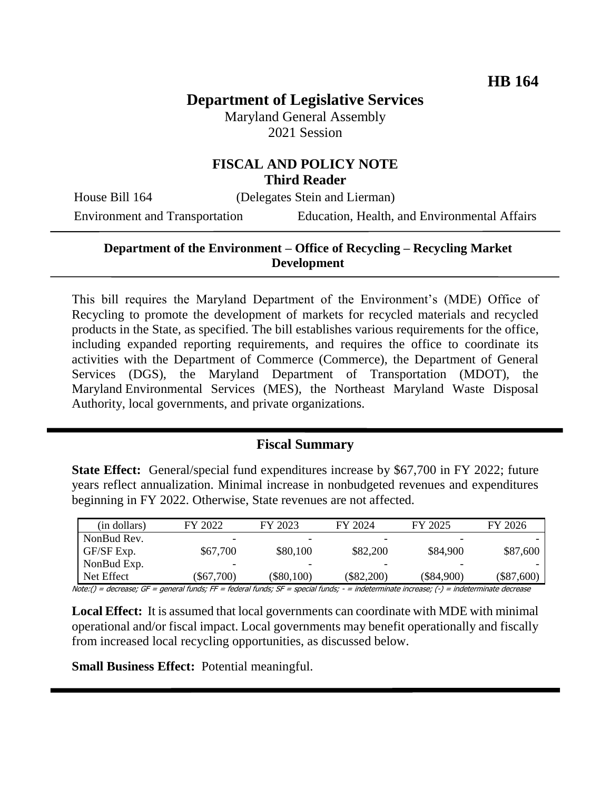# **Department of Legislative Services**

Maryland General Assembly 2021 Session

### **FISCAL AND POLICY NOTE Third Reader**

House Bill 164 (Delegates Stein and Lierman)

Environment and Transportation Education, Health, and Environmental Affairs

## **Department of the Environment – Office of Recycling – Recycling Market Development**

This bill requires the Maryland Department of the Environment's (MDE) Office of Recycling to promote the development of markets for recycled materials and recycled products in the State, as specified. The bill establishes various requirements for the office, including expanded reporting requirements, and requires the office to coordinate its activities with the Department of Commerce (Commerce), the Department of General Services (DGS), the Maryland Department of Transportation (MDOT), the Maryland Environmental Services (MES), the Northeast Maryland Waste Disposal Authority, local governments, and private organizations.

#### **Fiscal Summary**

**State Effect:** General/special fund expenditures increase by \$67,700 in FY 2022; future years reflect annualization. Minimal increase in nonbudgeted revenues and expenditures beginning in FY 2022. Otherwise, State revenues are not affected.

| (in dollars) | FY 2022      | FY 2023      | FY 2024      | FY 2025      | FY 2026      |
|--------------|--------------|--------------|--------------|--------------|--------------|
| NonBud Rev.  | -            | -            | -            |              |              |
| GF/SF Exp.   | \$67,700     | \$80,100     | \$82,200     | \$84,900     | \$87,600     |
| NonBud Exp.  |              |              |              |              |              |
| Net Effect   | $(\$67,700)$ | $(\$80,100)$ | $(\$82,200)$ | $(\$84,900)$ | $(\$87,600)$ |

Note:() = decrease; GF = general funds; FF = federal funds; SF = special funds; - = indeterminate increase; (-) = indeterminate decrease

**Local Effect:** It is assumed that local governments can coordinate with MDE with minimal operational and/or fiscal impact. Local governments may benefit operationally and fiscally from increased local recycling opportunities, as discussed below.

**Small Business Effect:** Potential meaningful.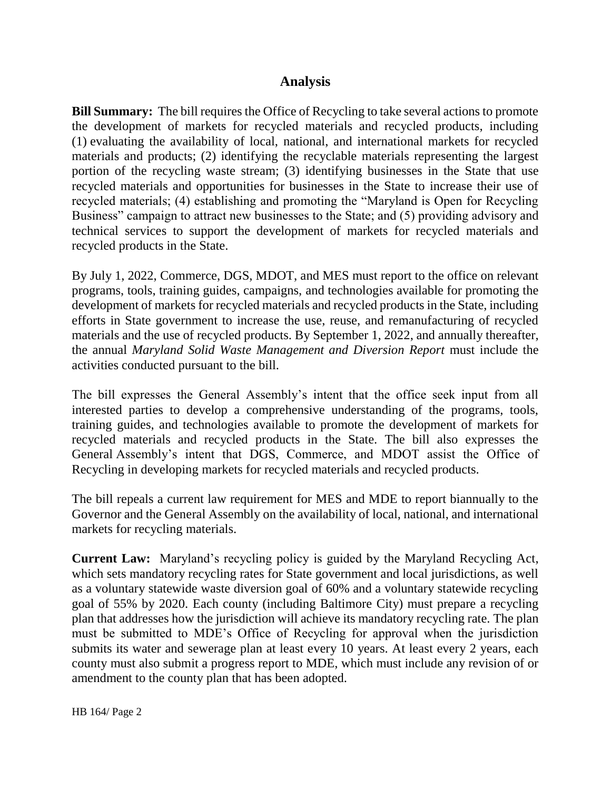## **Analysis**

**Bill Summary:** The bill requires the Office of Recycling to take several actions to promote the development of markets for recycled materials and recycled products, including (1) evaluating the availability of local, national, and international markets for recycled materials and products; (2) identifying the recyclable materials representing the largest portion of the recycling waste stream; (3) identifying businesses in the State that use recycled materials and opportunities for businesses in the State to increase their use of recycled materials; (4) establishing and promoting the "Maryland is Open for Recycling Business" campaign to attract new businesses to the State; and (5) providing advisory and technical services to support the development of markets for recycled materials and recycled products in the State.

By July 1, 2022, Commerce, DGS, MDOT, and MES must report to the office on relevant programs, tools, training guides, campaigns, and technologies available for promoting the development of markets for recycled materials and recycled products in the State, including efforts in State government to increase the use, reuse, and remanufacturing of recycled materials and the use of recycled products. By September 1, 2022, and annually thereafter, the annual *Maryland Solid Waste Management and Diversion Report* must include the activities conducted pursuant to the bill.

The bill expresses the General Assembly's intent that the office seek input from all interested parties to develop a comprehensive understanding of the programs, tools, training guides, and technologies available to promote the development of markets for recycled materials and recycled products in the State. The bill also expresses the General Assembly's intent that DGS, Commerce, and MDOT assist the Office of Recycling in developing markets for recycled materials and recycled products.

The bill repeals a current law requirement for MES and MDE to report biannually to the Governor and the General Assembly on the availability of local, national, and international markets for recycling materials.

**Current Law:** Maryland's recycling policy is guided by the Maryland Recycling Act, which sets mandatory recycling rates for State government and local jurisdictions, as well as a voluntary statewide waste diversion goal of 60% and a voluntary statewide recycling goal of 55% by 2020. Each county (including Baltimore City) must prepare a recycling plan that addresses how the jurisdiction will achieve its mandatory recycling rate. The plan must be submitted to MDE's Office of Recycling for approval when the jurisdiction submits its water and sewerage plan at least every 10 years. At least every 2 years, each county must also submit a progress report to MDE, which must include any revision of or amendment to the county plan that has been adopted.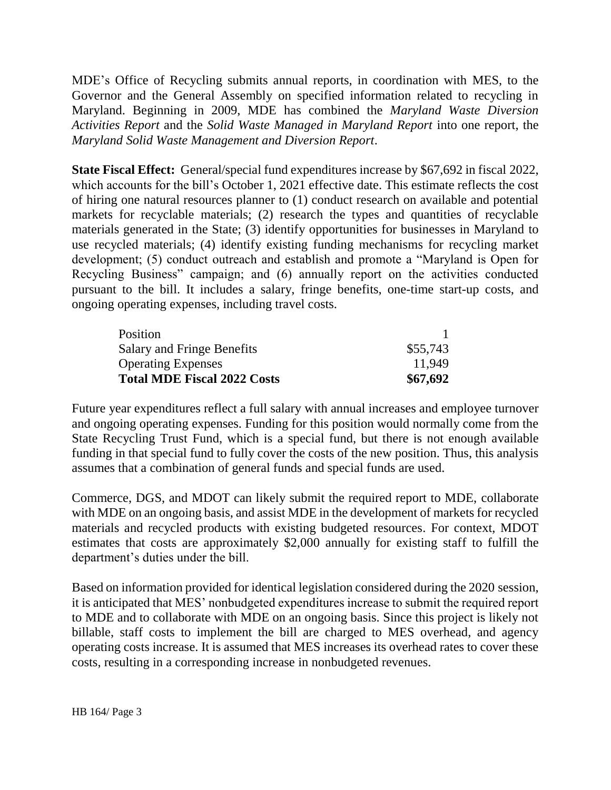MDE's Office of Recycling submits annual reports, in coordination with MES, to the Governor and the General Assembly on specified information related to recycling in Maryland. Beginning in 2009, MDE has combined the *Maryland Waste Diversion Activities Report* and the *Solid Waste Managed in Maryland Report* into one report, the *Maryland Solid Waste Management and Diversion Report*.

**State Fiscal Effect:** General/special fund expenditures increase by \$67,692 in fiscal 2022, which accounts for the bill's October 1, 2021 effective date. This estimate reflects the cost of hiring one natural resources planner to (1) conduct research on available and potential markets for recyclable materials; (2) research the types and quantities of recyclable materials generated in the State; (3) identify opportunities for businesses in Maryland to use recycled materials; (4) identify existing funding mechanisms for recycling market development; (5) conduct outreach and establish and promote a "Maryland is Open for Recycling Business" campaign; and (6) annually report on the activities conducted pursuant to the bill. It includes a salary, fringe benefits, one-time start-up costs, and ongoing operating expenses, including travel costs.

| Position                           |          |
|------------------------------------|----------|
| <b>Salary and Fringe Benefits</b>  | \$55,743 |
| <b>Operating Expenses</b>          | 11.949   |
| <b>Total MDE Fiscal 2022 Costs</b> | \$67,692 |

Future year expenditures reflect a full salary with annual increases and employee turnover and ongoing operating expenses. Funding for this position would normally come from the State Recycling Trust Fund, which is a special fund, but there is not enough available funding in that special fund to fully cover the costs of the new position. Thus, this analysis assumes that a combination of general funds and special funds are used.

Commerce, DGS, and MDOT can likely submit the required report to MDE, collaborate with MDE on an ongoing basis, and assist MDE in the development of markets for recycled materials and recycled products with existing budgeted resources. For context, MDOT estimates that costs are approximately \$2,000 annually for existing staff to fulfill the department's duties under the bill.

Based on information provided for identical legislation considered during the 2020 session, it is anticipated that MES' nonbudgeted expenditures increase to submit the required report to MDE and to collaborate with MDE on an ongoing basis. Since this project is likely not billable, staff costs to implement the bill are charged to MES overhead, and agency operating costs increase. It is assumed that MES increases its overhead rates to cover these costs, resulting in a corresponding increase in nonbudgeted revenues.